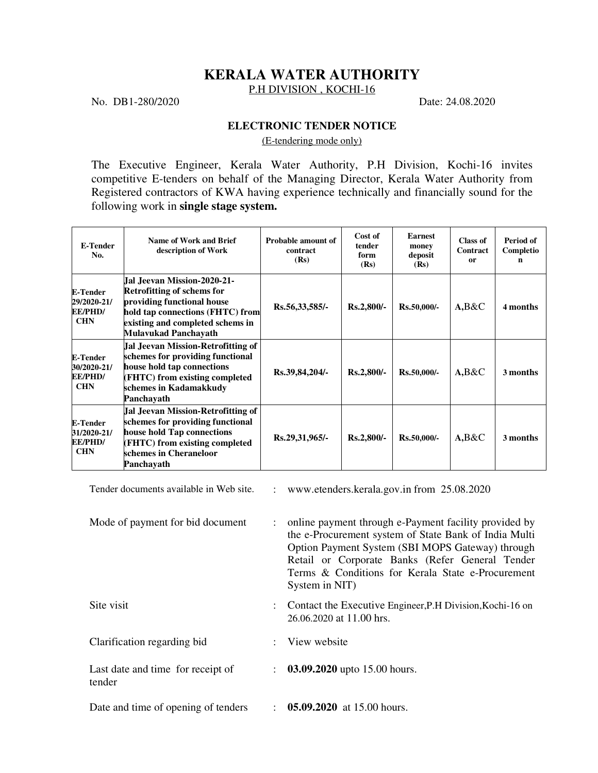## **KERALA WATER AUTHORITY**

P.H DIVISION, KOCHI-16

No. DB1-280/2020 Date: 24.08.2020

## **ELECTRONIC TENDER NOTICE**

(E-tendering mode only)

The Executive Engineer, Kerala Water Authority, P.H Division, Kochi-16 invites competitive E-tenders on behalf of the Managing Director, Kerala Water Authority from Registered contractors of KWA having experience technically and financially sound for the following work in **single stage system.**

| E-Tender<br>No.                                                | Name of Work and Brief<br>description of Work                                                                                                                                             | Probable amount of<br>contract<br>(Rs) | Cost of<br>tender<br>form<br>(Rs) | Earnest<br>money<br>deposit<br>(Rs) | Class of<br><b>Contract</b><br>0r | Period of<br>Completio<br>n |
|----------------------------------------------------------------|-------------------------------------------------------------------------------------------------------------------------------------------------------------------------------------------|----------------------------------------|-----------------------------------|-------------------------------------|-----------------------------------|-----------------------------|
| <b>E-Tender</b><br>29/2020-21/<br><b>EE/PHD/</b><br><b>CHN</b> | lIal .Jeevan Mission-2020-21-<br>Retrofitting of schems for<br>providing functional house<br>hold tap connections (FHTC) from<br>existing and completed schems in<br>Mulavukad Panchayath | Rs.56,33,585/-                         | Rs.2,800/-                        | $Rs.50,000/$ -                      | $A, B\&C$                         | 4 months                    |
| <b>E-Tender</b><br>30/2020-21/<br><b>EE/PHD/</b><br><b>CHN</b> | Jal Jeevan Mission-Retrofitting of<br>schemes for providing functional<br>house hold tap connections<br>(FHTC) from existing completed<br>schemes in Kadamakkudy<br>Panchavath            | Rs.39,84,204/-                         | $Rs.2,800/-$                      | $Rs.50,000/$ -                      | $A, B\&C$                         | 3 months                    |
| <b>E-Tender</b><br>31/2020-21/<br><b>EE/PHD/</b><br><b>CHN</b> | Jal Jeevan Mission-Retrofitting of<br>schemes for providing functional<br>house hold Tap connections<br>(FHTC) from existing completed<br>schemes in Cheraneloor<br>Panchavath            | Rs.29,31,965/-                         | $Rs.2,800/-$                      | $Rs.50,000/$ -                      | $A, B\&C$                         | 3 months                    |

Tender documents available in Web site. : www.etenders.kerala.gov.in from 25.08.2020

| Mode of payment for bid document            | : online payment through e-Payment facility provided by<br>the e-Procurement system of State Bank of India Multi<br>Option Payment System (SBI MOPS Gateway) through<br>Retail or Corporate Banks (Refer General Tender<br>Terms & Conditions for Kerala State e-Procurement<br>System in NIT) |
|---------------------------------------------|------------------------------------------------------------------------------------------------------------------------------------------------------------------------------------------------------------------------------------------------------------------------------------------------|
| Site visit                                  | : Contact the Executive Engineer, P.H Division, Kochi-16 on<br>26.06.2020 at 11.00 hrs.                                                                                                                                                                                                        |
| Clarification regarding bid                 | : View website                                                                                                                                                                                                                                                                                 |
| Last date and time for receipt of<br>tender | $\therefore$ 03.09.2020 upto 15.00 hours.                                                                                                                                                                                                                                                      |
| Date and time of opening of tenders         | $\therefore$ 05.09.2020 at 15.00 hours.                                                                                                                                                                                                                                                        |